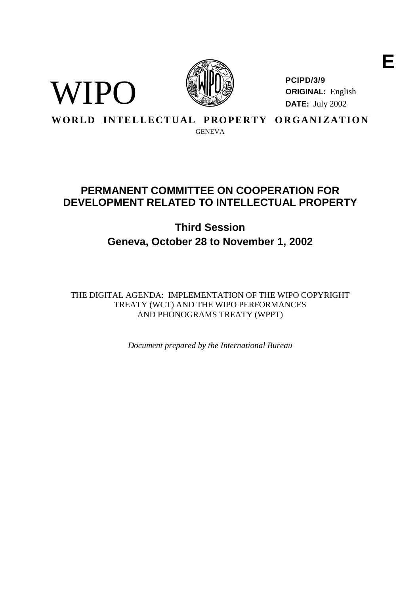



**PCIPD/3/9 ORIGINAL:** English **DATE:** July 2002

**WORLD INTELLECTUAL PROPERTY ORGANIZATION** 

GENEVA

# **PERMANENTCOMMITTEE ONCOOPERATIONFOR DEVELOPMENTRELATED TOINTELLECTUALPROP ERTY**

# **Third Session Geneva, October 28 to November 1, 2002**

THE DIGIT ALAGENDA: IMPLEMENTATION OF THE WIPO COPYRIGHT TREATY (WCT) AND THE WIPO PERFORMANCES AND PHONOGRAMS TREATY (WPPT)

*Document prepared by the International Bureau*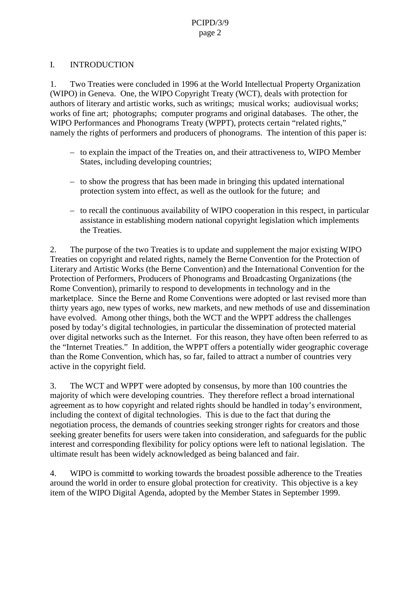## I. INTRODUCTION

1. Two Treaties were concluded in 1996 at the World Intellectu al Property Organization (WIPO) in Geneva. One, the WIPO Copyright Treaty (WCT), deals with protection for authors of literary and artistic works, such as writings; musical works; audiovisual works; works of fine art; photographs; computer programs a ndoriginal databases. The other, the WIPOPerformances and Phonograms Treaty (WPPT), protects certain "related rights," namely the rights of performers and producers of phonograms. The intention of this paper is:

- to explain the impact of the Treatie s on, and their attractiveness to, WIPO Member States, including developing countries;
- $-$  to show the progress that has been made in bringing this updated international protectionsystem into effect, as well as the outlook for the future; and
- to reca ll the continuous availability of WIPO cooperation in this respect, in particular assistance in establishing modern national copyright legislation which implements the Treaties.

2. The purpose of the two Treaties is to update and supplement the major existing WIPO Treaties on copyright and related rights, namely the Berne Convention for the Protection of Literary and Artistic Works (the Berne Convention) and the International Convention for the Protection of Performers, Producers of Phonograms an dBroadcasting Organizations (the Rome Convention), primarily to respond to developments in technology and in the marketplace. Since the Berne and Rome Conventions were adopted or last revised more than thirty years ago, new types of works, new markets, a nd new methods of use and dissemination have evolved. Among other things, both the WCT and the WPPT address the challenges posed by today's digital technologies, in particular the dissemination of protected material over digital networks such as the Inter net. For this reason, they have often been referred to as the "Internet Treaties." Inaddition, the WPPT offers a potentially wider geographic coverage than the Rome Convention, which has, so far, failed to attract a number of countries very active in the ecopyright field.

3. The WCT and WPPT were adopted by consensus, by more than 100 countries the majority of which were developing countries. They therefore reflect a broad international agreement as to how copyright and related rights should b ehand led intoday's environment, including the context of digital technologies. This is due to the fact that during the negotiation process, the demands of countries seekings tronger rights for creators and those seeking greater benefits for users were t aken into consideration, and safeguards for the public interestand corresponding flexibility for policy options were left to national legislation. The ultimateresulthas been widely acknowledged as being balanced and fair.

4. WIPO is committed to working towards the broadest possible adherence to the Treaties around the world in order to ensure global protection for creativity. This objective is a key item of the WIPO Digital Agenda, adopted by the Member States in September 1999.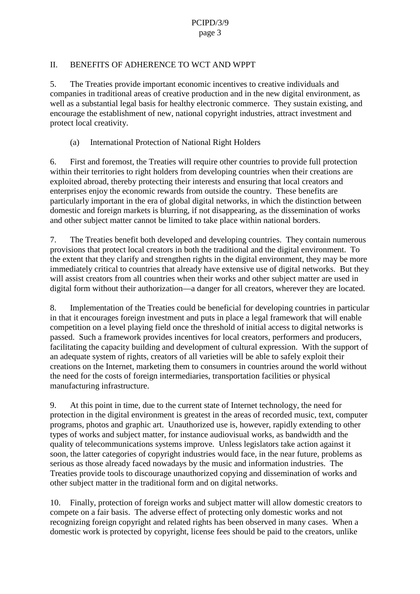## II. BENEFITS OF ADHERENCE TO WCTAND WPPT

5. The Treaties provide important economic incentives to creative individuals and companies intraditional areas of creative production and in the new digital environment, as well as a substantial legal basis fo rhealthy electronic commerce. They sustain existing, and encourage the establishment of new, national copyright industries, attract investment and protectlocal creativity.

(a) International Protection of National Right Holders

6. First and f oremost, the Treaties will require other countries to provide full protection within their territories to right holders from developing countries when their creations are exploited abroad, thereby protecting their interests and ensuring that local creators and enterprises enjoy the economic rewards from outside the country. These benefits are particularly important in the era of global digital networks, in which the distinction between domestic and foreign markets is blurring, if not disappearing, as the d issemination of works and other subject matter cannot be limited to take place within national borders.

7. The Treaties benefit both developed and developing countries. They contain numerous provisions that protect local creators in both the tr aditional and the digital environment. To the extent that the velarify and strengthen rights in the digital environment, they may be more immediately critical to countries that already have extensive use of digital networks. But they will assist creators from all countries when their works and other subject matter are used in digital form without their authorization —a danger for all creators, wherever they are located.

8. Implementation of the Treaties could be beneficial for developing countri esin particular in that it encourages for eigninvest ment and puts in place a legal framework that will enable competition on a level playing field once the threshold of initial access to digital networks is passed. Such a framework provides incentives fo rlocal creators, performers and producers, facilitating the capacity building and development of cultural expression. With the support of an adequates ystem of rights, creators of all varieties will be able to safely exploit their creations on the Intern et, marketing them to consumers in countries around the world without the need for the costs of foreign intermediaries, transportation facilities or physical manufacturing infrastructure.

9. At this point in time, due to the current state of Int ernet technology, the need for protection in the digital environment is greatest in the areas of recorded music, text, computer programs, photos and graphic art. Unauthorized use is, however, rapidly extending to other types of works and subject matter, fraction stance audiovisual works, as bandwidth and the quality of tele communications systems improve. Unless legislators takes actions gainst it soon, the latter categories of copyright industries would face, in the near future, problems as serious as those a lready faced nowadays by the music and information industries. The Treaties provide tools to discourage unauthorized copying and dissemination of works and other subject matter in the traditional form and on digital networks.

10. Finally, prote ction of foreign works and subject matter will allow domestic creators to compete on a fairbasis. The adverse effect of protecting only domestic works and not recognizing for eign copyright and related rights has been observed in many cases. When a domestic work is protected by copyright, license fees should be paid to the creators, unlike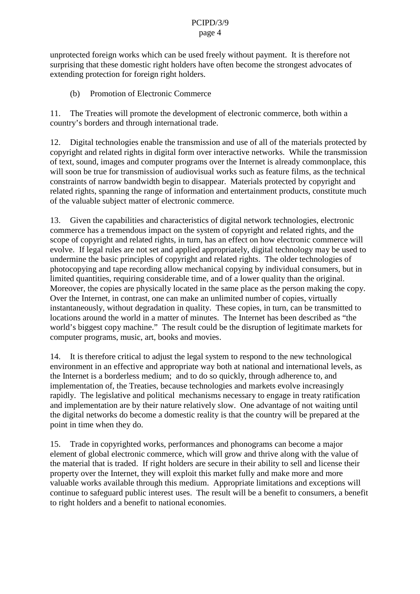unprotected for eignworks which can be used freely without payment. It is therefore not surprising that these domestic right holders have often become the strongest ad vocates of extending protection for foreign right holders.

(b) Promotion of Electronic Commerce

11. The Treaties will promote the development of electronic commerce, both within a country's borders and through international trade.

12. Digital technologies enable the transmission and use of all of the materials protected by copyright and related rights in digital form over interactive networks. While the transmission of text, sound, images and computer programs over the Internetisal reduced by commonplace, this will soon be true for transmission of audiovisual works such as feature films, as the technical constraints of narrow bandwidth begin to disappear. Materials protected by copyright and related rights, spanning the range of informatio nand entertainment products, constitute much of the valuable subject matter of electronic commerce.

13. Given the capabilities and characteristics of digital network technologies, electronic commerce has a tremendous impact on the system of copy right and related rights, and the scope of copyright and related rights, in turn, has an effect on how electronic commerce will evolve. If legal rules are not set and applied appropriately, digital technology may be used to undermine the basic principles of copyright and related rights. The older technologies of photocopying and tape recording allow mechanical copying by individual consumers, but in limited quantities, requiring considerable time, and of a lower quality than the original. Moreover, the copies are physically located in the same place as the person making the copy. OvertheInternet,incontrast,onecanmakeanunlimitednumber of copies, virtually instantaneously, without degradation in quality. These copies, in turn, can be transmitted to locations around the world in a matter of minutes. The Internet has been described as "the world's biggest copy machine." The result could be the disruption of legitimate markets for computer programs, music, art, books and movies.

14. It is therefore critical to adjust the legal system to respond to the new technological environment in an effective and appropriate way both at national and international levels, as the Internetis aborderless medium; and to do so quickly, through adherence to, and implementation of, the Treaties, because technologies and markets evolve increasingly rapidly. The legislative and political mechanisms necessary to engage intreaty ratification and implementation are by their nature relatively slow. One advan tage of not waiting until the digital networks do become a domestic reality is that the country will be prepared at the point in time when they do.

15. Trade incopyrighted works, performances and phonograms can be come a major element of global electronic commerce, which will grow and thrive along with the value of the material that is traded. If right holder s are secure in their ability to sell and license their property over the Internet, they will exploit this market fully and make more and m valuable works available through this medium. Appropriate limitations and exceptions will continue to safeguard public interest uses. The result will be a benefit to consumers, a benefit to rightholder sandabenefittonationaleconomies.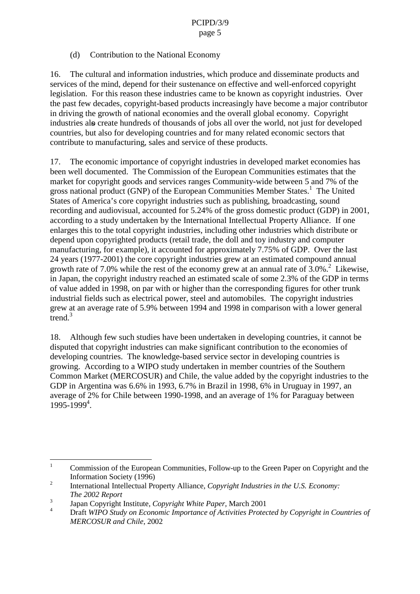## (d) Contribution to the National Economy

16. The cultural and information industries, which produce and disseminate products and services of the mind, depend for their sustenance on effective and well -enforced copyright legislation. For this reason the eseindustries came to be known as copyright industries. Over the past few decades, copyright -based products increasingly have become a major contributor indriving the growth of national economies and the overall global economy. Copyright industries also create hundreds of thousands of jobs allower the world, not just for developed countries, but also for developing countries and for many related economic sectors that contribute to manufacturing, sales and service of these products.

17. The economic importance of copyright industries indeveloped market economies has been well documented. The Commission of the European Communities estimates that the market for copyright goods and services ranges Community -wide between 5 and 7% of the grossn ational product (GNP) of the European Communities Member States.  $1$ The United States of America's core copyright industries such as publishing, broadcasting, sound recording and audiovisual, accounted for 5.24% of the gross domestic product (GDP) in 2001, according to a study undertaken by the International Intellectual Property Alliance. If one enlarges this to the total copyright industries, including other industries which distribute or depend upon copyrighted products (retail trade, the doll and toy in dustry and computer manufacturing, for example), it accounted for approximately 7.75% of GDP. Over the last 24 years (1977 - 2001) the core copyright industries grew at an estimated compound annual growth rate of 7.0% while the rest of the economy grew at a nannual rate of 3.0%.  ${}^{2}$ Likewise. in Japan, the copyright industry reached an estimated scale of some 2.3% of the GDP in terms of value added in 1998, on par with or higher than the corresponding figures for other trunk industrial fields such as electrica lpower, steel and automobiles. The copyright industries grewat an average rate of 5.9% between 1994 and 1998 in comparison with a lower general trend. $3$ 

18. Although few such studies have been undertaken indeveloping countries, it cannot be disputed that copyright industries can make significant contribution to the economies of developing countries. The knowledge -based service sector in developing countries is growing. According to a WIPO study under taken in member countries of the Southern CommonMarket (MERCOSUR) and Chile, the value added by the copyright industries to the GDP in Argentina was  $6.6\%$  in 1993,  $6.7\%$  in Brazil in 1998, 6% in U ruguay in 1997, an average of 2% for Chile between 1990 -1998, and an average of 1% for Paraguay betwee n 1995-1999<sup>4</sup>.

<sup>&</sup>lt;sup>1</sup> Commission of the European Communities, Follow -up to the Green Paper on Copyright and the Information Society (1996)

<sup>&</sup>lt;sup>2</sup> International Intellectual Pr operty Alliance, *Copyright Industries in the U.S. Economy*: *The 2002 Report*

<sup>3</sup> Japan Copyright Institute, *Copyright White Paper,* March 2001

Draft *WIPOStudyon Economic Importance of Activities Protected by Copyrightin Countries of MERCOSUR and Chile* , 2002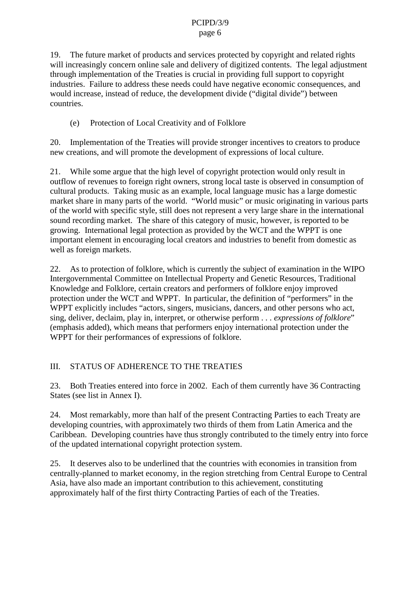19. The future market of products and services protected by copyright and related rights willincreasingly concern online sale and delivery of digitized contents. The legal adjustment through implementation of the Treaties is crue cial in providing full support to copyright industries. Failure to address these needs could have negative economic consequences, and would increase, instead of reduce, the development divide ("digital divide") between countries.

## (e) Protection of Local Creativity and of Folklore

20. Implementation of the Treaties will provide stronger incentives to creators to produce new creations, and will promote the development of expressions of local culture.

21. While some argue that the high legislator velof copyright protection would only result in outflow of revenues to foreign right owners, strong local taste is observed in consumption of cultural products. Taking music as an example, local language music has a large domestic market share in many pa rts of the world. "World music" or music originating invarious parts of the world with specific style, still does not represent a very large share in the international sound recording market. The share of this category of music, however, is reported to be growing. International legal protection as provided by the WCT and the WPPT is one important element in encouraging local creators and industries to benefit from domesticas wellasforeignmarkets.

22. Astoprotection of folklore, which is currently the subject of examination in the WIPO Intergovernmental Committee on Intellectual Property and Genetic Resources, Traditional Knowledge and Folklore, certain creators and performers of folklore enjoy improved protection under the WCT and WPPT. In particular, the definition of "performers" in the WPPT explicitly includes "actors, singers, musicians, dancers, and other persons who act, sing, deliver, declaim, play in, interpret, or otherwise perform... *expressions of folklore* " (emphasis added), which means that performers enjoy international protection under the WPPT for their performances of expressions of folklore.

## III. STATUS OF ADHERENCE TO THE TREATIES

23. Both Treaties entered into force in 2002. Each of the m currently have 3 6 Contracting States (seelistin Annex I).

24. Mostremarkably, more than half of the present Contracting Parties to each Treaty are developing countries, with approximately two thirds of them from Latin America and the Caribbean. Developing co untries have thus strongly contributed to the timely entry into force of the updated international copyright protections ystem.

25. It deserves also to be underlined that the countries with economies in transition from centrally-planned to market economy, in the regions tretching from Central Europe to Central Asia, have also made an important contribution to this achievement, constituting approximately half of the first thirty Contracting Parties of each of the Treaties.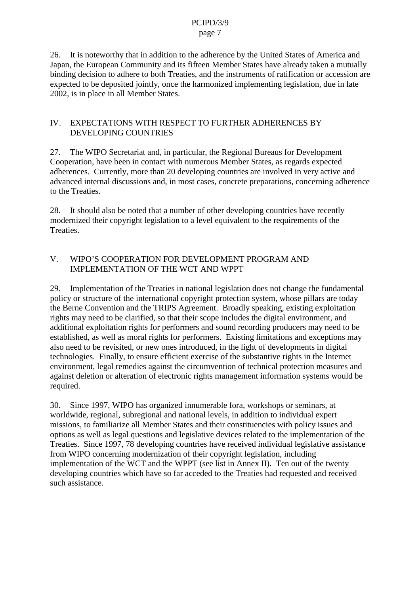26. Itisnote worthy that in addition to the adherence by the United States of America and Japan, the European Community and its fifteen Member States have already taken a mutually binding decision to adhere to both Treaties, and the instruments of ratification or acces sion are expected to be deposited jointly, once the harmonized implementing legislation, due in late 2002, is in place in all Member States.

## IV. EXPECTATIONS WITH RESPECT TO FURTHER ADHERENCES BY **DEVELOPING COUNTRIES**

27. The WIPO Secretariat and, in particular, the Regional Bureaus for Development Cooperation, have been in contact with numerous Member States, as regards expected adherences. Currently, more than 20 developing countries are involved invervactive and advanced internal discussi ons and, in most cases, concrete preparations, concerning adherence to the Treaties.

28. It should also be noted that a number of other developing countries have recently modernized their copyright legislation to a level equivalent to the require ments of the **Treaties** 

## V. WIPO'S COOPERATION FOR DEVELOPMENT PROGRAMAND IMPLEMENTATION OF THE WCTAND WPPT

29. Implementation of the Treaties in national legislation does not change the fundamental policy or structure of the international copy right protections ystem, whose pillars are today the Berne Convention and the TRIPS Agreement. Broadly speaking, existing exploitation rights may need to be clarified, so that their scope includes the digital environment, and additional exploitation right sfor performers and sound recording producers may need to be established, as well as moral rights for performers. Existing limitations and exceptions may also need to be revisited, or new ones introduced, in the light of developments in digital technologies. Finally, to ensure efficient exercise of the substantive rights in the Internet environment, legal remedies against the circumvention of technical protection measures and against deletion or alteration of electronic rights management information syst ems would be required.

30. Since 1997, WIPO has organized in numerable for a, workshops or seminars, at worldwide, regional, subregional and national levels, in addition to individual expert missions, to familiarize all Member States and their cons tituencies with policy issues and options as well as legal questions and legislative devices related to the implementation of the Treaties. Since 1997, 78 developing countries have received individual legislative assistance from WIPO concerning modernizat ion of their copyright legislation, including implementation of the WCT and the WPPT (see list in Annex II). Ten out of the twenty developing countries which have so far acceded to the Treaties had requested and received such assistance.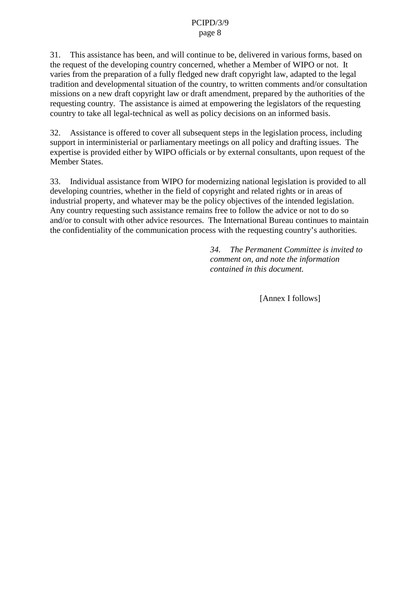31. This assistance has been, and will continue to be, delivered invarious forms, based on the request of the developing country concerned, whether a Member of WIPO or not. It varies from the preparation of a fully fledged new draft copyright law, adapted to the legal tradition and developmental situation of the country, to written comments and/or consultation missions on a new draft copyright law ordraft amendment, prepared by the authorities of the requesting country. The assistance is aimed at empowering the legislators of the requesting country to take all legal -technical as well as policy decisions on an informed basis.

32. Assistance is offered to cover all subsequents teps in the legislation process, including supportininterministerial or pa rliamentary meetings on all policy and drafting issues. The expertise is provided either by WIPO officials or by external consultants, upon request of the MemberStates.

33. Individual assistance from WIPO for modernizing national legislation is provided to all developing countries, whether in the field of copyright and related rights or in areas of industrial property, and whatever may be the policy objectives of the intended legislation. Any country requesting such assistance remains free to follow the advice or not to do so and/ortoconsultwith other advice resources. The International Bureau continues to maintain the confidentiality of the communication process with the requesting country's authorities.

> *34. The Permanent Commit tee is invited to comment on, and note the information contained in this document.*

> > [Annex Ifollows]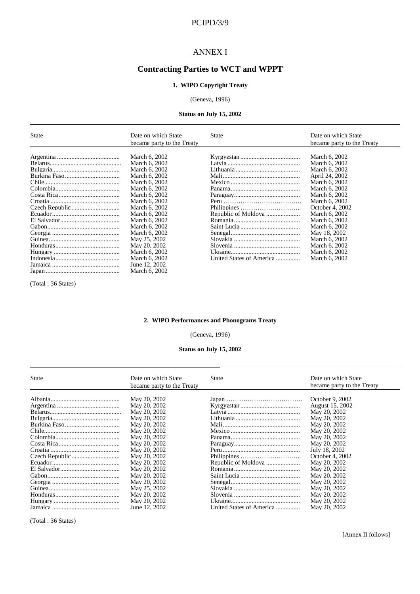## PCIPD/3/9

#### **ANNEXI**

# **Contracting Parties to WCT and WPPT**

#### **1. WIPO Copyright Treaty**

#### (Geneva, 1996)

#### Status on July 15, 2002

| <b>State</b> | DateonwhichState       | State                 | DateonwhichState          |
|--------------|------------------------|-----------------------|---------------------------|
|              | becamepartytotheTreaty |                       | becamepartytotheTreaty    |
|              |                        |                       |                           |
|              | March6.2002            |                       | March6.2002               |
|              | March6,2002            |                       | March6,2002               |
|              | March6.2002            |                       | March6.200 2              |
|              | March6.2002            |                       | April24.2002              |
|              | March6.2002            |                       | March6.2002               |
|              | March6.2002            |                       | March6.2002               |
|              | March6.2002            |                       | March6,2002               |
|              | March6.2002            |                       | March6.2002               |
|              | March6.2002            |                       | October <sub>4.2002</sub> |
|              | March6.2002            | RepublicofMoldova     | March6.2002               |
|              | March6,2002            |                       | March6,2002               |
|              | March6.2002            |                       | March6.200 2              |
|              | March6.2002            |                       | May18,2002                |
|              | May25.2002             |                       | March6.2002               |
|              | May20,2002             |                       | March6.2002               |
|              | March6.2002            |                       | March6.2002               |
|              | March6.2002            | UnitedStatesofAmerica | March6.2002               |
|              | June 12,2002           |                       |                           |
|              | March6,2002            |                       |                           |

(Total:36States)

#### **2. WIPO Performances and Phonograms Treaty**

#### (Geneva, 1996)

#### **Status on July 15, 2 002**

| <b>State</b> | DateonwhichState<br>becamepartytotheTreaty | State                 | DateonwhichState<br>becamepartytotheTreaty |
|--------------|--------------------------------------------|-----------------------|--------------------------------------------|
|              | May20,2002                                 |                       | October <sub>9,2002</sub>                  |
|              | May20,2002                                 |                       | August15,2002                              |
|              | May20,2002                                 |                       | May20,2002                                 |
|              | May20,2002                                 |                       | May20,2002                                 |
|              | May20,2002                                 |                       | May20,2002                                 |
|              | May20,2002                                 |                       | May20,2002                                 |
|              | May20,2002                                 |                       | May20,2002                                 |
|              | May20,2002                                 |                       | May20,2002                                 |
|              | May20,2002                                 |                       | July18,2002                                |
|              | May20,2002                                 |                       | October4.2002                              |
|              | May20,2002                                 |                       | May20,2002                                 |
|              | May20,2002                                 |                       | May20,2002                                 |
|              | May20,2002                                 |                       | May20,2002                                 |
|              | May20,2002                                 |                       | May20,2002                                 |
|              | May25,2002                                 |                       | May20,2002                                 |
|              | May20,2002                                 |                       | May20,2002                                 |
|              | May2 0,2002                                |                       | May20,2002                                 |
|              | June 12,2002                               | UnitedStatesofAmerica | May20,2002                                 |

(Total:36States)

[AnnexIIfollows]